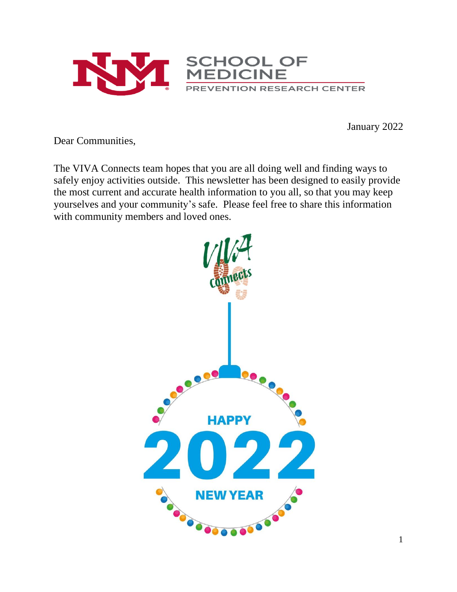

January 2022

Dear Communities,

The VIVA Connects team hopes that you are all doing well and finding ways to safely enjoy activities outside. This newsletter has been designed to easily provide the most current and accurate health information to you all, so that you may keep yourselves and your community's safe. Please feel free to share this information with community members and loved ones.

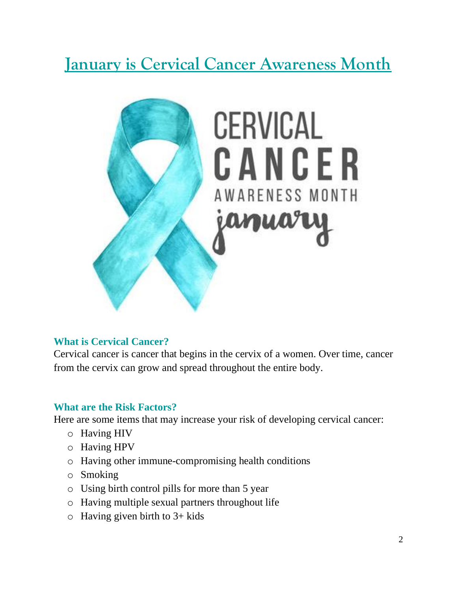# **January is Cervical Cancer Awareness Month**



## **What is Cervical Cancer?**

Cervical cancer is cancer that begins in the cervix of a women. Over time, cancer from the cervix can grow and spread throughout the entire body.

#### **What are the Risk Factors?**

Here are some items that may increase your risk of developing cervical cancer:

- o Having HIV
- o Having HPV
- o Having other immune-compromising health conditions
- o Smoking
- o Using birth control pills for more than 5 year
- o Having multiple sexual partners throughout life
- $\circ$  Having given birth to 3+ kids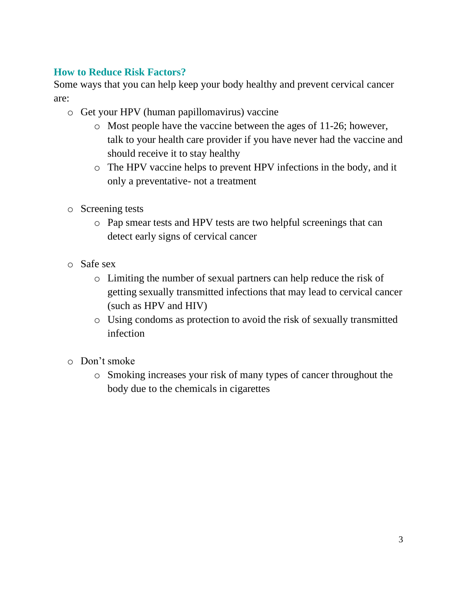## **How to Reduce Risk Factors?**

Some ways that you can help keep your body healthy and prevent cervical cancer are:

- o Get your HPV (human papillomavirus) vaccine
	- o Most people have the vaccine between the ages of 11-26; however, talk to your health care provider if you have never had the vaccine and should receive it to stay healthy
	- o The HPV vaccine helps to prevent HPV infections in the body, and it only a preventative- not a treatment
- o Screening tests
	- o Pap smear tests and HPV tests are two helpful screenings that can detect early signs of cervical cancer
- o Safe sex
	- o Limiting the number of sexual partners can help reduce the risk of getting sexually transmitted infections that may lead to cervical cancer (such as HPV and HIV)
	- o Using condoms as protection to avoid the risk of sexually transmitted infection
- o Don't smoke
	- o Smoking increases your risk of many types of cancer throughout the body due to the chemicals in cigarettes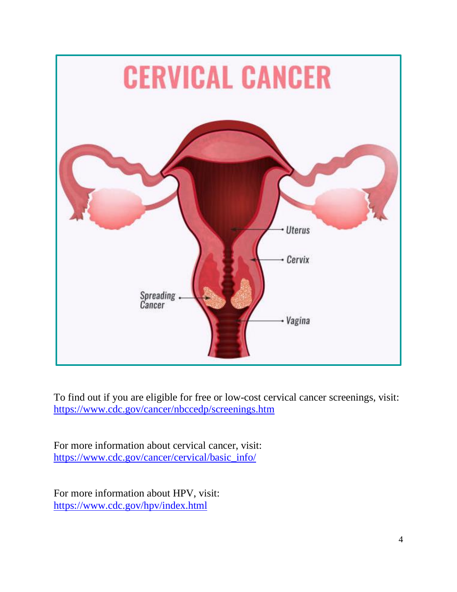

To find out if you are eligible for free or low-cost cervical cancer screenings, visit: <https://www.cdc.gov/cancer/nbccedp/screenings.htm>

For more information about cervical cancer, visit: [https://www.cdc.gov/cancer/cervical/basic\\_info/](https://www.cdc.gov/cancer/cervical/basic_info/)

For more information about HPV, visit: <https://www.cdc.gov/hpv/index.html>